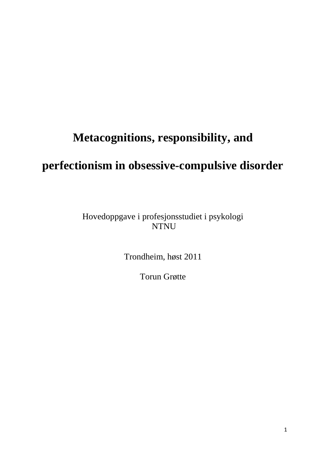# **Metacognitions, responsibility, and**

## **perfectionism in obsessive-compulsive disorder**

Hovedoppgave i profesjonsstudiet i psykologi NTNU

Trondheim, høst 2011

Torun Grøtte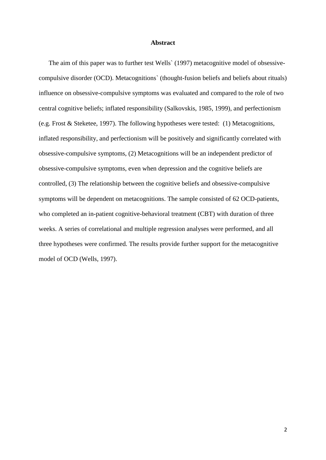#### **Abstract**

The aim of this paper was to further test Wells` (1997) metacognitive model of obsessivecompulsive disorder (OCD). Metacognitions` (thought-fusion beliefs and beliefs about rituals) influence on obsessive-compulsive symptoms was evaluated and compared to the role of two central cognitive beliefs; inflated responsibility (Salkovskis, 1985, 1999), and perfectionism (e.g. Frost & Steketee, 1997). The following hypotheses were tested: (1) Metacognitions, inflated responsibility, and perfectionism will be positively and significantly correlated with obsessive-compulsive symptoms, (2) Metacognitions will be an independent predictor of obsessive-compulsive symptoms, even when depression and the cognitive beliefs are controlled, (3) The relationship between the cognitive beliefs and obsessive-compulsive symptoms will be dependent on metacognitions. The sample consisted of 62 OCD-patients, who completed an in-patient cognitive-behavioral treatment (CBT) with duration of three weeks. A series of correlational and multiple regression analyses were performed, and all three hypotheses were confirmed. The results provide further support for the metacognitive model of OCD (Wells, 1997).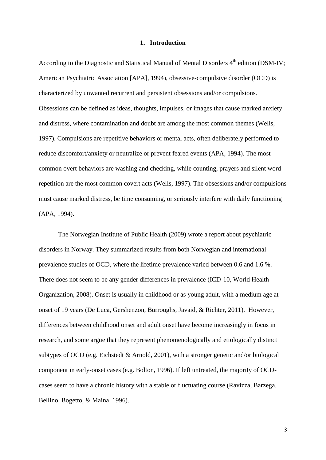#### **1. Introduction**

According to the Diagnostic and Statistical Manual of Mental Disorders 4<sup>th</sup> edition (DSM-IV: American Psychiatric Association [APA], 1994), obsessive-compulsive disorder (OCD) is characterized by unwanted recurrent and persistent obsessions and/or compulsions. Obsessions can be defined as ideas, thoughts, impulses, or images that cause marked anxiety and distress, where contamination and doubt are among the most common themes (Wells, 1997). Compulsions are repetitive behaviors or mental acts, often deliberately performed to reduce discomfort/anxiety or neutralize or prevent feared events (APA, 1994). The most common overt behaviors are washing and checking, while counting, prayers and silent word repetition are the most common covert acts (Wells, 1997). The obsessions and/or compulsions must cause marked distress, be time consuming, or seriously interfere with daily functioning (APA, 1994).

The Norwegian Institute of Public Health (2009) wrote a report about psychiatric disorders in Norway. They summarized results from both Norwegian and international prevalence studies of OCD, where the lifetime prevalence varied between 0.6 and 1.6 %. There does not seem to be any gender differences in prevalence (ICD-10, World Health Organization, 2008). Onset is usually in childhood or as young adult, with a medium age at onset of 19 years (De Luca, Gershenzon, Burroughs, Javaid, & Richter, 2011). However, differences between childhood onset and adult onset have become increasingly in focus in research, and some argue that they represent phenomenologically and etiologically distinct subtypes of OCD (e.g. Eichstedt & Arnold, 2001), with a stronger genetic and/or biological component in early-onset cases (e.g. Bolton, 1996). If left untreated, the majority of OCDcases seem to have a chronic history with a stable or fluctuating course (Ravizza, Barzega, Bellino, Bogetto, & Maina, 1996).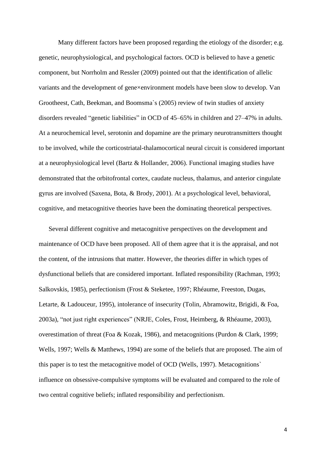Many different factors have been proposed regarding the etiology of the disorder; e.g. genetic, neurophysiological, and psychological factors. OCD is believed to have a genetic component, but Norrholm and Ressler (2009) pointed out that the identification of allelic variants and the development of gene×environment models have been slow to develop. Van Grootheest, Cath, Beekman, and Boomsma`s (2005) review of twin studies of anxiety disorders revealed "genetic liabilities" in OCD of 45–65% in children and 27–47% in adults. At a neurochemical level, serotonin and dopamine are the primary neurotransmitters thought to be involved, while the corticostriatal-thalamocortical neural circuit is considered important at a neurophysiological level (Bartz & Hollander, 2006). Functional imaging studies have demonstrated that the orbitofrontal cortex, caudate nucleus, thalamus, and anterior cingulate gyrus are involved (Saxena, Bota, & Brody, 2001). At a psychological level, behavioral, cognitive, and metacognitive theories have been the dominating theoretical perspectives.

Several different cognitive and metacognitive perspectives on the development and maintenance of OCD have been proposed. All of them agree that it is the appraisal, and not the content, of the intrusions that matter. However, the theories differ in which types of dysfunctional beliefs that are considered important. Inflated responsibility (Rachman, 1993; Salkovskis, 1985), perfectionism (Frost & Steketee, 1997; Rhéaume, Freeston, Dugas, Letarte, & Ladouceur, 1995), intolerance of insecurity (Tolin, Abramowitz, Brigidi, & Foa, 2003a), "not just right experiences" (NRJE, Coles, Frost, Heimberg, & Rhéaume, 2003), overestimation of threat (Foa & Kozak, 1986), and metacognitions (Purdon & Clark, 1999; Wells, 1997; Wells & Matthews, 1994) are some of the beliefs that are proposed. The aim of this paper is to test the metacognitive model of OCD (Wells, 1997). Metacognitions` influence on obsessive-compulsive symptoms will be evaluated and compared to the role of two central cognitive beliefs; inflated responsibility and perfectionism.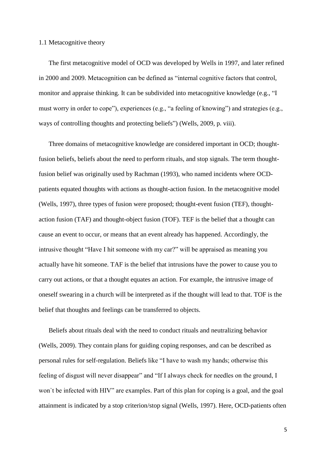#### 1.1 Metacognitive theory

The first metacognitive model of OCD was developed by Wells in 1997, and later refined in 2000 and 2009. Metacognition can be defined as "internal cognitive factors that control, monitor and appraise thinking. It can be subdivided into metacognitive knowledge (e.g., "I must worry in order to cope"), experiences (e.g., "a feeling of knowing") and strategies (e.g., ways of controlling thoughts and protecting beliefs") (Wells, 2009, p. viii).

Three domains of metacognitive knowledge are considered important in OCD; thoughtfusion beliefs, beliefs about the need to perform rituals, and stop signals. The term thoughtfusion belief was originally used by Rachman (1993), who named incidents where OCDpatients equated thoughts with actions as thought-action fusion. In the metacognitive model (Wells, 1997), three types of fusion were proposed; thought-event fusion (TEF), thoughtaction fusion (TAF) and thought-object fusion (TOF). TEF is the belief that a thought can cause an event to occur, or means that an event already has happened. Accordingly, the intrusive thought "Have I hit someone with my car?" will be appraised as meaning you actually have hit someone. TAF is the belief that intrusions have the power to cause you to carry out actions, or that a thought equates an action. For example, the intrusive image of oneself swearing in a church will be interpreted as if the thought will lead to that. TOF is the belief that thoughts and feelings can be transferred to objects.

Beliefs about rituals deal with the need to conduct rituals and neutralizing behavior (Wells, 2009). They contain plans for guiding coping responses, and can be described as personal rules for self-regulation. Beliefs like "I have to wash my hands; otherwise this feeling of disgust will never disappear" and "If I always check for needles on the ground, I won`t be infected with HIV" are examples. Part of this plan for coping is a goal, and the goal attainment is indicated by a stop criterion/stop signal (Wells, 1997). Here, OCD-patients often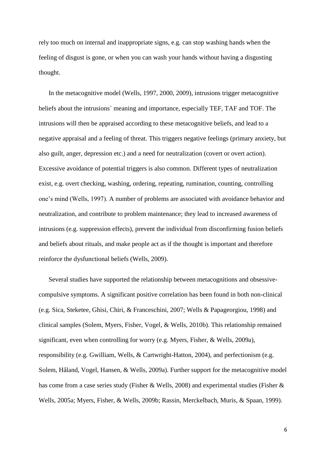rely too much on internal and inappropriate signs, e.g. can stop washing hands when the feeling of disgust is gone, or when you can wash your hands without having a disgusting thought.

In the metacognitive model (Wells, 1997, 2000, 2009), intrusions trigger metacognitive beliefs about the intrusions` meaning and importance, especially TEF, TAF and TOF. The intrusions will then be appraised according to these metacognitive beliefs, and lead to a negative appraisal and a feeling of threat. This triggers negative feelings (primary anxiety, but also guilt, anger, depression etc.) and a need for neutralization (covert or overt action). Excessive avoidance of potential triggers is also common. Different types of neutralization exist, e.g. overt checking, washing, ordering, repeating, rumination, counting, controlling one's mind (Wells, 1997). A number of problems are associated with avoidance behavior and neutralization, and contribute to problem maintenance; they lead to increased awareness of intrusions (e.g. suppression effects), prevent the individual from disconfirming fusion beliefs and beliefs about rituals, and make people act as if the thought is important and therefore reinforce the dysfunctional beliefs (Wells, 2009).

Several studies have supported the relationship between metacognitions and obsessivecompulsive symptoms. A significant positive correlation has been found in both non-clinical (e.g. Sica, Steketee, Ghisi, Chiri, & Franceschini, 2007; Wells & Papageorgiou, 1998) and clinical samples (Solem, Myers, Fisher, Vogel, & Wells, 2010b). This relationship remained significant, even when controlling for worry (e.g. Myers, Fisher, & Wells, 2009a), responsibility (e.g. Gwilliam, Wells, & Cartwright-Hatton, 2004), and perfectionism (e.g. Solem, Håland, Vogel, Hansen, & Wells, 2009a). Further support for the metacognitive model has come from a case series study (Fisher & Wells, 2008) and experimental studies (Fisher & Wells, 2005a; Myers, Fisher, & Wells, 2009b; Rassin, Merckelbach, Muris, & Spaan, 1999).

6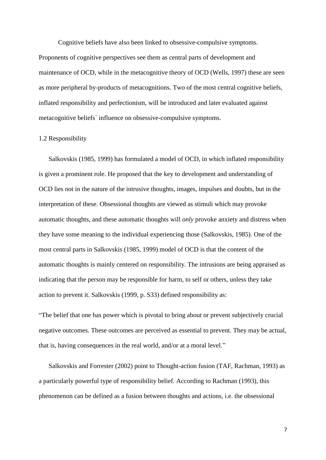Cognitive beliefs have also been linked to obsessive-compulsive symptoms. Proponents of cognitive perspectives see them as central parts of development and maintenance of OCD, while in the metacognitive theory of OCD (Wells, 1997) these are seen as more peripheral by-products of metacognitions. Two of the most central cognitive beliefs, inflated responsibility and perfectionism, will be introduced and later evaluated against metacognitive beliefs` influence on obsessive-compulsive symptoms.

#### 1.2 Responsibility

Salkovskis (1985, 1999) has formulated a model of OCD, in which inflated responsibility is given a prominent role. He proposed that the key to development and understanding of OCD lies not in the nature of the intrusive thoughts, images, impulses and doubts, but in the interpretation of these. Obsessional thoughts are viewed as stimuli which may provoke automatic thoughts, and these automatic thoughts will *only* provoke anxiety and distress when they have some meaning to the individual experiencing those (Salkovskis, 1985). One of the most central parts in Salkovskis (1985, 1999) model of OCD is that the content of the automatic thoughts is mainly centered on responsibility. The intrusions are being appraised as indicating that the person may be responsible for harm, to self or others, unless they take action to prevent it. Salkovskis (1999, p. S33) defined responsibility as:

"The belief that one has power which is pivotal to bring about or prevent subjectively crucial negative outcomes. These outcomes are perceived as essential to prevent. They may be actual, that is, having consequences in the real world, and/or at a moral level."

Salkovskis and Forrester (2002) point to Thought-action fusion (TAF, Rachman, 1993) as a particularly powerful type of responsibility belief. According to Rachman (1993), this phenomenon can be defined as a fusion between thoughts and actions, i.e. the obsessional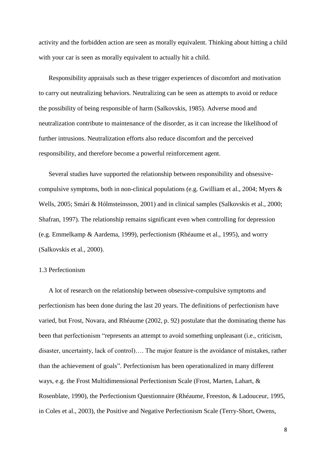activity and the forbidden action are seen as morally equivalent. Thinking about hitting a child with your car is seen as morally equivalent to actually hit a child.

Responsibility appraisals such as these trigger experiences of discomfort and motivation to carry out neutralizing behaviors. Neutralizing can be seen as attempts to avoid or reduce the possibility of being responsible of harm (Salkovskis, 1985). Adverse mood and neutralization contribute to maintenance of the disorder, as it can increase the likelihood of further intrusions. Neutralization efforts also reduce discomfort and the perceived responsibility, and therefore become a powerful reinforcement agent.

Several studies have supported the relationship between responsibility and obsessivecompulsive symptoms, both in non-clinical populations (e.g. Gwilliam et al., 2004; Myers & Wells, 2005; Smári & Hólmsteinsson, 2001) and in clinical samples (Salkovskis et al., 2000; Shafran, 1997). The relationship remains significant even when controlling for depression (e.g. Emmelkamp & Aardema, 1999), perfectionism (Rhéaume et al., 1995), and worry (Salkovskis et al., 2000).

## 1.3 Perfectionism

A lot of research on the relationship between obsessive-compulsive symptoms and perfectionism has been done during the last 20 years. The definitions of perfectionism have varied, but Frost, Novara, and Rhéaume (2002, p. 92) postulate that the dominating theme has been that perfectionism "represents an attempt to avoid something unpleasant (i.e., criticism, disaster, uncertainty, lack of control)…. The major feature is the avoidance of mistakes, rather than the achievement of goals". Perfectionism has been operationalized in many different ways, e.g. the Frost Multidimensional Perfectionism Scale (Frost, Marten, Lahart, & Rosenblate, 1990), the Perfectionism Questionnaire (Rhéaume, Freeston, & Ladouceur, 1995, in Coles et al., 2003), the Positive and Negative Perfectionism Scale (Terry-Short, Owens,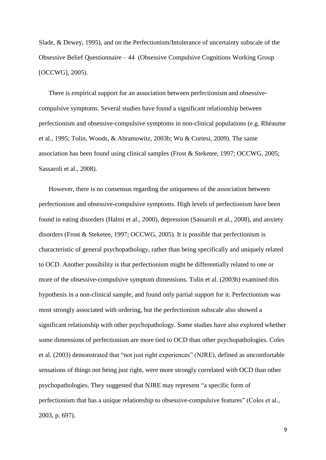Slade, & Dewey, 1995), and on the Perfectionism/Intolerance of uncertainty subscale of the Obsessive Belief Questionnaire – 44 (Obsessive Compulsive Cognitions Working Group [OCCWG], 2005).

There is empirical support for an association between perfectionism and obsessivecompulsive symptoms. Several studies have found a significant relationship between perfectionism and obsessive-compulsive symptoms in non-clinical populations (e.g. Rhéaume et al., 1995; Tolin, Woods, & Abramowitz, 2003b; Wu & Cortesi, 2009). The same association has been found using clinical samples (Frost & Steketee, 1997; OCCWG, 2005; Sassaroli et al., 2008).

However, there is no consensus regarding the uniqueness of the association between perfectionism and obsessive-compulsive symptoms. High levels of perfectionism have been found in eating disorders (Halmi et al., 2000), depression (Sassaroli et al., 2008), and anxiety disorders (Frost & Steketee, 1997; OCCWG, 2005). It is possible that perfectionism is characteristic of general psychopathology, rather than being specifically and uniquely related to OCD. Another possibility is that perfectionism might be differentially related to one or more of the obsessive-compulsive symptom dimensions. Tolin et al. (2003b) examined this hypothesis in a non-clinical sample, and found only partial support for it. Perfectionism was most strongly associated with ordering, but the perfectionism subscale also showed a significant relationship with other psychopathology. Some studies have also explored whether some dimensions of perfectionism are more tied to OCD than other psychopathologies. Coles et al. (2003) demonstrated that "not just right experiences" (NJRE), defined as uncomfortable sensations of things not being just right, were more strongly correlated with OCD than other psychopathologies. They suggested that NJRE may represent "a specific form of perfectionism that has a unique relationship to obsessive-compulsive features" (Coles et al., 2003, p. 697).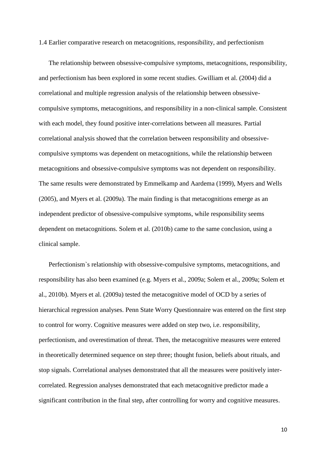1.4 Earlier comparative research on metacognitions, responsibility, and perfectionism

The relationship between obsessive-compulsive symptoms, metacognitions, responsibility, and perfectionism has been explored in some recent studies. Gwilliam et al. (2004) did a correlational and multiple regression analysis of the relationship between obsessivecompulsive symptoms, metacognitions, and responsibility in a non-clinical sample. Consistent with each model, they found positive inter-correlations between all measures. Partial correlational analysis showed that the correlation between responsibility and obsessivecompulsive symptoms was dependent on metacognitions, while the relationship between metacognitions and obsessive-compulsive symptoms was not dependent on responsibility. The same results were demonstrated by Emmelkamp and Aardema (1999), Myers and Wells (2005), and Myers et al. (2009a). The main finding is that metacognitions emerge as an independent predictor of obsessive-compulsive symptoms, while responsibility seems dependent on metacognitions. Solem et al. (2010b) came to the same conclusion, using a clinical sample.

Perfectionism`s relationship with obsessive-compulsive symptoms, metacognitions, and responsibility has also been examined (e.g. Myers et al., 2009a; Solem et al., 2009a; Solem et al., 2010b). Myers et al. (2009a) tested the metacognitive model of OCD by a series of hierarchical regression analyses. Penn State Worry Questionnaire was entered on the first step to control for worry. Cognitive measures were added on step two, i.e. responsibility, perfectionism, and overestimation of threat. Then, the metacognitive measures were entered in theoretically determined sequence on step three; thought fusion, beliefs about rituals, and stop signals. Correlational analyses demonstrated that all the measures were positively intercorrelated. Regression analyses demonstrated that each metacognitive predictor made a significant contribution in the final step, after controlling for worry and cognitive measures.

10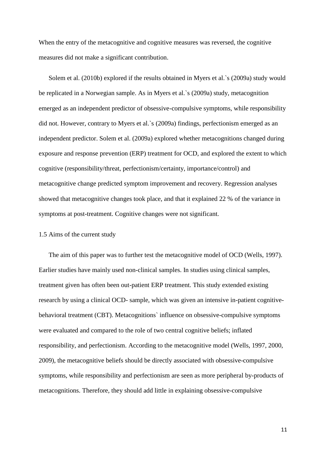When the entry of the metacognitive and cognitive measures was reversed, the cognitive measures did not make a significant contribution.

Solem et al. (2010b) explored if the results obtained in Myers et al.`s (2009a) study would be replicated in a Norwegian sample. As in Myers et al.`s (2009a) study, metacognition emerged as an independent predictor of obsessive-compulsive symptoms, while responsibility did not. However, contrary to Myers et al.`s (2009a) findings, perfectionism emerged as an independent predictor. Solem et al. (2009a) explored whether metacognitions changed during exposure and response prevention (ERP) treatment for OCD, and explored the extent to which cognitive (responsibility/threat, perfectionism/certainty, importance/control) and metacognitive change predicted symptom improvement and recovery. Regression analyses showed that metacognitive changes took place, and that it explained 22 % of the variance in symptoms at post-treatment. Cognitive changes were not significant.

#### 1.5 Aims of the current study

The aim of this paper was to further test the metacognitive model of OCD (Wells, 1997). Earlier studies have mainly used non-clinical samples. In studies using clinical samples, treatment given has often been out-patient ERP treatment. This study extended existing research by using a clinical OCD- sample, which was given an intensive in-patient cognitivebehavioral treatment (CBT). Metacognitions` influence on obsessive-compulsive symptoms were evaluated and compared to the role of two central cognitive beliefs; inflated responsibility, and perfectionism. According to the metacognitive model (Wells, 1997, 2000, 2009), the metacognitive beliefs should be directly associated with obsessive-compulsive symptoms, while responsibility and perfectionism are seen as more peripheral by-products of metacognitions. Therefore, they should add little in explaining obsessive-compulsive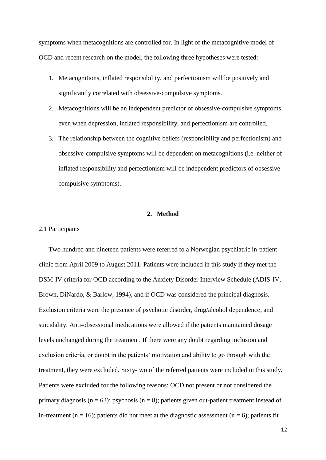symptoms when metacognitions are controlled for. In light of the metacognitive model of OCD and recent research on the model, the following three hypotheses were tested:

- 1. Metacognitions, inflated responsibility, and perfectionism will be positively and significantly correlated with obsessive-compulsive symptoms.
- 2. Metacognitions will be an independent predictor of obsessive-compulsive symptoms, even when depression, inflated responsibility, and perfectionism are controlled.
- 3. The relationship between the cognitive beliefs (responsibility and perfectionism) and obsessive-compulsive symptoms will be dependent on metacognitions (i.e. neither of inflated responsibility and perfectionism will be independent predictors of obsessivecompulsive symptoms).

## **2. Method**

#### 2.1 Participants

Two hundred and nineteen patients were referred to a Norwegian psychiatric in-patient clinic from April 2009 to August 2011. Patients were included in this study if they met the DSM-IV criteria for OCD according to the Anxiety Disorder Interview Schedule (ADIS-IV, Brown, DiNardo, & Barlow, 1994), and if OCD was considered the principal diagnosis. Exclusion criteria were the presence of psychotic disorder, drug/alcohol dependence, and suicidality. Anti-obsessional medications were allowed if the patients maintained dosage levels unchanged during the treatment. If there were any doubt regarding inclusion and exclusion criteria, or doubt in the patients' motivation and ability to go through with the treatment, they were excluded. Sixty-two of the referred patients were included in this study. Patients were excluded for the following reasons: OCD not present or not considered the primary diagnosis ( $n = 63$ ); psychosis ( $n = 8$ ); patients given out-patient treatment instead of in-treatment ( $n = 16$ ); patients did not meet at the diagnostic assessment ( $n = 6$ ); patients fit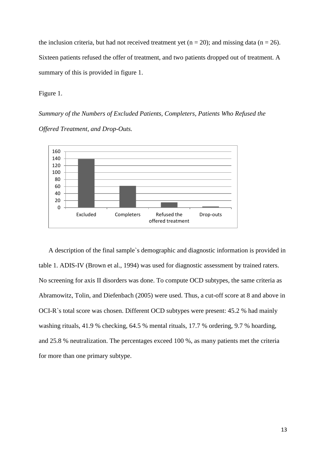the inclusion criteria, but had not received treatment yet ( $n = 20$ ); and missing data ( $n = 26$ ). Sixteen patients refused the offer of treatment, and two patients dropped out of treatment. A summary of this is provided in figure 1.

Figure 1.

*Summary of the Numbers of Excluded Patients, Completers, Patients Who Refused the Offered Treatment, and Drop-Outs.*



A description of the final sample`s demographic and diagnostic information is provided in table 1. ADIS-IV (Brown et al., 1994) was used for diagnostic assessment by trained raters. No screening for axis II disorders was done. To compute OCD subtypes, the same criteria as Abramowitz, Tolin, and Diefenbach (2005) were used. Thus, a cut-off score at 8 and above in OCI-R`s total score was chosen. Different OCD subtypes were present: 45.2 % had mainly washing rituals, 41.9 % checking, 64.5 % mental rituals, 17.7 % ordering, 9.7 % hoarding, and 25.8 % neutralization. The percentages exceed 100 %, as many patients met the criteria for more than one primary subtype.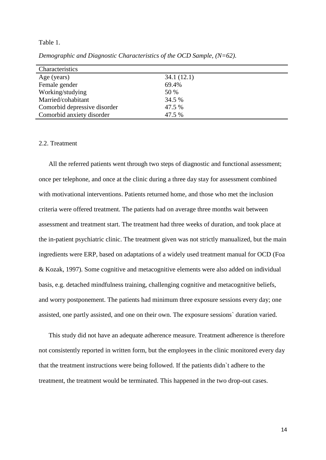#### Table 1.

| Characteristics              |            |
|------------------------------|------------|
| Age (years)                  | 34.1(12.1) |
| Female gender                | 69.4%      |
| Working/studying             | 50 %       |
| Married/cohabitant           | 34.5 %     |
| Comorbid depressive disorder | 47.5 %     |
| Comorbid anxiety disorder    | 47.5 %     |
|                              |            |

*Demographic and Diagnostic Characteristics of the OCD Sample, (N=62).*

## 2.2. Treatment

All the referred patients went through two steps of diagnostic and functional assessment; once per telephone, and once at the clinic during a three day stay for assessment combined with motivational interventions. Patients returned home, and those who met the inclusion criteria were offered treatment. The patients had on average three months wait between assessment and treatment start. The treatment had three weeks of duration, and took place at the in-patient psychiatric clinic. The treatment given was not strictly manualized, but the main ingredients were ERP, based on adaptations of a widely used treatment manual for OCD (Foa & Kozak, 1997)*.* Some cognitive and metacognitive elements were also added on individual basis, e.g. detached mindfulness training, challenging cognitive and metacognitive beliefs, and worry postponement. The patients had minimum three exposure sessions every day; one assisted, one partly assisted, and one on their own. The exposure sessions` duration varied.

This study did not have an adequate adherence measure. Treatment adherence is therefore not consistently reported in written form, but the employees in the clinic monitored every day that the treatment instructions were being followed. If the patients didn`t adhere to the treatment, the treatment would be terminated. This happened in the two drop-out cases.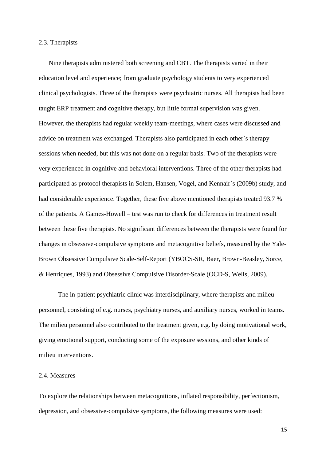#### 2.3. Therapists

Nine therapists administered both screening and CBT. The therapists varied in their education level and experience; from graduate psychology students to very experienced clinical psychologists. Three of the therapists were psychiatric nurses. All therapists had been taught ERP treatment and cognitive therapy, but little formal supervision was given. However, the therapists had regular weekly team-meetings, where cases were discussed and advice on treatment was exchanged. Therapists also participated in each other`s therapy sessions when needed, but this was not done on a regular basis. Two of the therapists were very experienced in cognitive and behavioral interventions. Three of the other therapists had participated as protocol therapists in Solem, Hansen, Vogel, and Kennair`s (2009b) study, and had considerable experience. Together, these five above mentioned therapists treated 93.7 % of the patients. A Games-Howell – test was run to check for differences in treatment result between these five therapists. No significant differences between the therapists were found for changes in obsessive-compulsive symptoms and metacognitive beliefs, measured by the Yale-Brown Obsessive Compulsive Scale-Self-Report (YBOCS-SR, Baer, Brown-Beasley, Sorce, & Henriques, 1993) and Obsessive Compulsive Disorder-Scale (OCD-S, Wells, 2009).

The in-patient psychiatric clinic was interdisciplinary, where therapists and milieu personnel, consisting of e.g. nurses, psychiatry nurses, and auxiliary nurses, worked in teams. The milieu personnel also contributed to the treatment given, e.g. by doing motivational work, giving emotional support, conducting some of the exposure sessions, and other kinds of milieu interventions.

## 2.4. Measures

To explore the relationships between metacognitions, inflated responsibility, perfectionism, depression, and obsessive-compulsive symptoms, the following measures were used: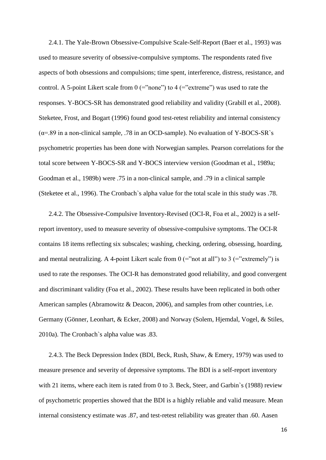2.4.1. The Yale-Brown Obsessive-Compulsive Scale-Self-Report (Baer et al., 1993) was used to measure severity of obsessive-compulsive symptoms. The respondents rated five aspects of both obsessions and compulsions; time spent, interference, distress, resistance, and control. A 5-point Likert scale from  $0$  (="none") to  $4$  (="extreme") was used to rate the responses. Y-BOCS-SR has demonstrated good reliability and validity (Grabill et al., 2008). Steketee, Frost, and Bogart (1996) found good test-retest reliability and internal consistency  $(\alpha = .89)$  in a non-clinical sample, .78 in an OCD-sample). No evaluation of Y-BOCS-SR`s psychometric properties has been done with Norwegian samples. Pearson correlations for the total score between Y-BOCS-SR and Y-BOCS interview version (Goodman et al., 1989a; Goodman et al., 1989b) were .75 in a non-clinical sample, and .79 in a clinical sample (Steketee et al., 1996). The Cronbach`s alpha value for the total scale in this study was .78.

2.4.2. The Obsessive-Compulsive Inventory-Revised (OCI-R, Foa et al., 2002) is a selfreport inventory, used to measure severity of obsessive-compulsive symptoms. The OCI-R contains 18 items reflecting six subscales; washing, checking, ordering, obsessing, hoarding, and mental neutralizing. A 4-point Likert scale from  $0$  (="not at all") to 3 (="extremely") is used to rate the responses. The OCI-R has demonstrated good reliability, and good convergent and discriminant validity (Foa et al., 2002). These results have been replicated in both other American samples (Abramowitz & Deacon, 2006), and samples from other countries, i.e. Germany (Gönner, Leonhart, & Ecker, 2008) and Norway (Solem, Hjemdal, Vogel, & Stiles, 2010a). The Cronbach`s alpha value was .83.

2.4.3. The Beck Depression Index (BDI, Beck, Rush, Shaw, & Emery, 1979) was used to measure presence and severity of depressive symptoms. The BDI is a self-report inventory with 21 items, where each item is rated from 0 to 3. Beck, Steer, and Garbin`s (1988) review of psychometric properties showed that the BDI is a highly reliable and valid measure. Mean internal consistency estimate was .87, and test-retest reliability was greater than .60. Aasen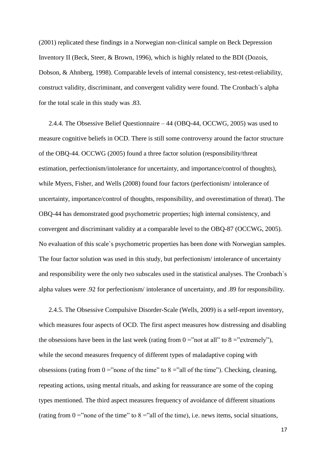(2001) replicated these findings in a Norwegian non-clinical sample on Beck Depression Inventory II (Beck, Steer, & Brown, 1996), which is highly related to the BDI (Dozois, Dobson, & Ahnberg, 1998). Comparable levels of internal consistency, test-retest-reliability, construct validity, discriminant, and convergent validity were found. The Cronbach`s alpha for the total scale in this study was .83.

2.4.4. The Obsessive Belief Questionnaire – 44 (OBQ-44, OCCWG, 2005) was used to measure cognitive beliefs in OCD. There is still some controversy around the factor structure of the OBQ-44. OCCWG (2005) found a three factor solution (responsibility/threat estimation, perfectionism/intolerance for uncertainty, and importance/control of thoughts), while Myers, Fisher, and Wells (2008) found four factors (perfectionism/ intolerance of uncertainty, importance/control of thoughts, responsibility, and overestimation of threat). The OBQ-44 has demonstrated good psychometric properties; high internal consistency, and convergent and discriminant validity at a comparable level to the OBQ-87 (OCCWG, 2005). No evaluation of this scale`s psychometric properties has been done with Norwegian samples. The four factor solution was used in this study, but perfectionism/ intolerance of uncertainty and responsibility were the only two subscales used in the statistical analyses. The Cronbach`s alpha values were .92 for perfectionism/ intolerance of uncertainty, and .89 for responsibility.

2.4.5. The Obsessive Compulsive Disorder-Scale (Wells, 2009) is a self-report inventory, which measures four aspects of OCD. The first aspect measures how distressing and disabling the obsessions have been in the last week (rating from  $0 =$ "not at all" to  $8 =$ "extremely"), while the second measures frequency of different types of maladaptive coping with obsessions (rating from  $0 =$ "none of the time" to  $8 =$ "all of the time"). Checking, cleaning, repeating actions, using mental rituals, and asking for reassurance are some of the coping types mentioned. The third aspect measures frequency of avoidance of different situations (rating from  $0 =$ "none of the time" to  $8 =$ "all of the time), i.e. news items, social situations,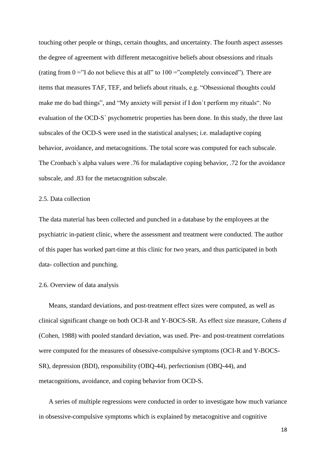touching other people or things, certain thoughts, and uncertainty. The fourth aspect assesses the degree of agreement with different metacognitive beliefs about obsessions and rituals (rating from  $0 =$ "I do not believe this at all" to  $100 =$ "completely convinced"). There are items that measures TAF, TEF, and beliefs about rituals, e.g. "Obsessional thoughts could make me do bad things", and "My anxiety will persist if I don`t perform my rituals". No evaluation of the OCD-S` psychometric properties has been done. In this study, the three last subscales of the OCD-S were used in the statistical analyses; i.e. maladaptive coping behavior, avoidance, and metacognitions. The total score was computed for each subscale. The Cronbach`s alpha values were .76 for maladaptive coping behavior, .72 for the avoidance subscale, and .83 for the metacognition subscale.

#### 2.5. Data collection

The data material has been collected and punched in a database by the employees at the psychiatric in-patient clinic, where the assessment and treatment were conducted. The author of this paper has worked part-time at this clinic for two years, and thus participated in both data- collection and punching.

#### 2.6. Overview of data analysis

Means, standard deviations, and post-treatment effect sizes were computed, as well as clinical significant change on both OCI-R and Y-BOCS-SR. As effect size measure, Cohens *d* (Cohen, 1988) with pooled standard deviation, was used. Pre- and post-treatment correlations were computed for the measures of obsessive-compulsive symptoms (OCI-R and Y-BOCS-SR), depression (BDI), responsibility (OBQ-44), perfectionism (OBQ-44), and metacognitions, avoidance, and coping behavior from OCD-S.

A series of multiple regressions were conducted in order to investigate how much variance in obsessive-compulsive symptoms which is explained by metacognitive and cognitive

18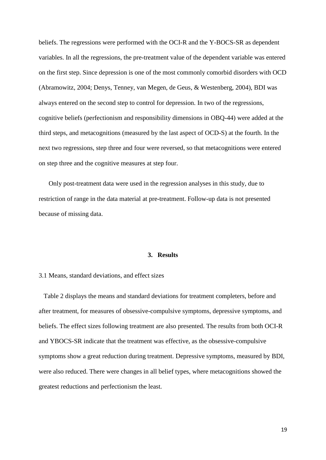beliefs. The regressions were performed with the OCI-R and the Y-BOCS-SR as dependent variables. In all the regressions, the pre-treatment value of the dependent variable was entered on the first step. Since depression is one of the most commonly comorbid disorders with OCD (Abramowitz, 2004; Denys, Tenney, van Megen, de Geus, & Westenberg, 2004), BDI was always entered on the second step to control for depression. In two of the regressions, cognitive beliefs (perfectionism and responsibility dimensions in OBQ-44) were added at the third steps, and metacognitions (measured by the last aspect of OCD-S) at the fourth. In the next two regressions, step three and four were reversed, so that metacognitions were entered on step three and the cognitive measures at step four.

Only post-treatment data were used in the regression analyses in this study, due to restriction of range in the data material at pre-treatment. Follow-up data is not presented because of missing data.

## **3. Results**

#### 3.1 Means, standard deviations, and effect sizes

Table 2 displays the means and standard deviations for treatment completers, before and after treatment, for measures of obsessive-compulsive symptoms, depressive symptoms, and beliefs. The effect sizes following treatment are also presented. The results from both OCI-R and YBOCS-SR indicate that the treatment was effective, as the obsessive-compulsive symptoms show a great reduction during treatment. Depressive symptoms, measured by BDI, were also reduced. There were changes in all belief types, where metacognitions showed the greatest reductions and perfectionism the least.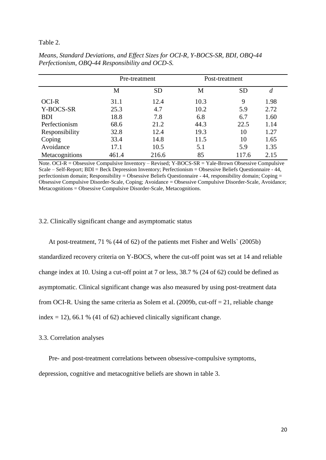## Table 2.

|                | Pre-treatment |           | Post-treatment |           |      |  |
|----------------|---------------|-----------|----------------|-----------|------|--|
|                | M             | <b>SD</b> | М              | <b>SD</b> | d    |  |
| OCI-R          | 31.1          | 12.4      | 10.3           | 9         | 1.98 |  |
| Y-BOCS-SR      | 25.3          | 4.7       | 10.2           | 5.9       | 2.72 |  |
| <b>BDI</b>     | 18.8          | 7.8       | 6.8            | 6.7       | 1.60 |  |
| Perfectionism  | 68.6          | 21.2      | 44.3           | 22.5      | 1.14 |  |
| Responsibility | 32.8          | 12.4      | 19.3           | 10        | 1.27 |  |
| Coping         | 33.4          | 14.8      | 11.5           | 10        | 1.65 |  |
| Avoidance      | 17.1          | 10.5      | 5.1            | 5.9       | 1.35 |  |
| Metacognitions | 461.4         | 216.6     | 85             | 117.6     | 2.15 |  |

*Means, Standard Deviations, and Effect Sizes for OCI-R, Y-BOCS-SR, BDI, OBQ-44 Perfectionism, OBQ-44 Responsibility and OCD-S.* 

Note. OCI-R = Obsessive Compulsive Inventory – Revised; Y-BOCS-SR = Yale-Brown Obsessive Compulsive Scale – Self-Report; BDI = Beck Depression Inventory; Perfectionism = Obsessive Beliefs Questionnaire - 44, perfectionism domain; Responsibility = Obsessive Beliefs Questionnaire - 44, responsibility domain; Coping = Obsessive Compulsive Disorder-Scale, Coping; Avoidance = Obsessive Compulsive Disorder-Scale, Avoidance; Metacognitions = Obsessive Compulsive Disorder-Scale, Metacognitions.

#### 3.2. Clinically significant change and asymptomatic status

At post-treatment, 71 % (44 of 62) of the patients met Fisher and Wells` (2005b) standardized recovery criteria on Y-BOCS, where the cut-off point was set at 14 and reliable change index at 10. Using a cut-off point at 7 or less, 38.7 % (24 of 62) could be defined as asymptomatic. Clinical significant change was also measured by using post-treatment data from OCI-R. Using the same criteria as Solem et al. (2009b, cut-off  $= 21$ , reliable change index  $= 12$ ), 66.1 % (41 of 62) achieved clinically significant change.

## 3.3. Correlation analyses

Pre- and post-treatment correlations between obsessive-compulsive symptoms,

depression, cognitive and metacognitive beliefs are shown in table 3.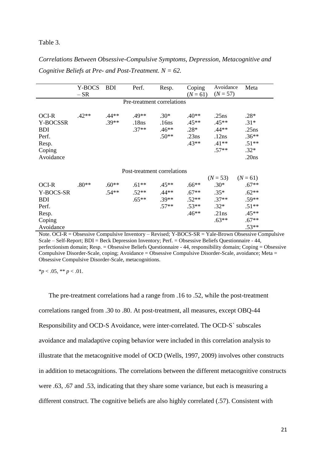#### Table 3.

*Correlations Between Obsessive-Compulsive Symptoms, Depression, Metacognitive and Cognitive Beliefs at Pre- and Post-Treatment. N = 62.*

|                                                                          | Y-BOCS<br>$-SR$ | <b>BDI</b>         | Perf.                       | Resp.                                 | Coping<br>$(N = 61)$                             | Avoidance<br>$(N = 57)$                                    | Meta                                                               |
|--------------------------------------------------------------------------|-----------------|--------------------|-----------------------------|---------------------------------------|--------------------------------------------------|------------------------------------------------------------|--------------------------------------------------------------------|
| Pre-treatment correlations                                               |                 |                    |                             |                                       |                                                  |                                                            |                                                                    |
| OCI-R<br>Y-BOCSSR<br><b>BDI</b><br>Perf.<br>Resp.<br>Coping<br>Avoidance | $.42**$         | $.44**$<br>$.39**$ | $.49**$<br>.18ns<br>$.37**$ | $.30*$<br>.16ns<br>$.46**$<br>$.50**$ | $.40**$<br>$.45**$<br>$.28*$<br>.23ns<br>$.43**$ | .25ns<br>$.45**$<br>$.44**$<br>.12ns<br>$.41**$<br>$.57**$ | $.28*$<br>$.31*$<br>.25ns<br>$.36**$<br>$.51**$<br>$.32*$<br>.20ns |
| Post-treatment correlations                                              |                 |                    |                             |                                       |                                                  |                                                            |                                                                    |
|                                                                          |                 |                    |                             |                                       |                                                  | $(N = 53)$                                                 | $(N = 61)$                                                         |
| OCI-R                                                                    | $.80**$         | $.60**$            | $.61**$                     | $.45**$                               | $.66**$                                          | $.30*$                                                     | $.67**$                                                            |
| Y-BOCS-SR                                                                |                 | $.54**$            | $.52**$                     | $.44**$                               | $.67**$                                          | $.35*$                                                     | $.62**$                                                            |
| <b>BDI</b>                                                               |                 |                    | $.65**$                     | $.39**$                               | $.52**$                                          | $.37**$                                                    | $.59**$                                                            |
| Perf.                                                                    |                 |                    |                             | $.57**$                               | $.53**$                                          | $.32*$                                                     | $.51**$                                                            |
| Resp.                                                                    |                 |                    |                             |                                       | $.46**$                                          | .21ns                                                      | $.45**$                                                            |
| Coping                                                                   |                 |                    |                             |                                       |                                                  | $.63**$                                                    | $.67**$                                                            |
| Avoidance                                                                |                 |                    |                             |                                       |                                                  |                                                            | $.53**$                                                            |

Note. OCI-R = Obsessive Compulsive Inventory – Revised; Y-BOCS-SR = Yale-Brown Obsessive Compulsive Scale – Self-Report; BDI = Beck Depression Inventory; Perf. = Obsessive Beliefs Questionnaire - 44, perfectionism domain; Resp. = Obsessive Beliefs Questionnaire - 44, responsibility domain; Coping = Obsessive Compulsive Disorder-Scale, coping; Avoidance = Obsessive Compulsive Disorder-Scale, avoidance; Meta = Obsessive Compulsive Disorder-Scale, metacognitions.

 $**p* < .05, ** *p* < .01.$ 

The pre-treatment correlations had a range from .16 to .52, while the post-treatment correlations ranged from .30 to .80. At post-treatment, all measures, except OBQ-44 Responsibility and OCD-S Avoidance, were inter-correlated. The OCD-S` subscales avoidance and maladaptive coping behavior were included in this correlation analysis to illustrate that the metacognitive model of OCD (Wells, 1997, 2009) involves other constructs in addition to metacognitions. The correlations between the different metacognitive constructs were .63, .67 and .53, indicating that they share some variance, but each is measuring a different construct. The cognitive beliefs are also highly correlated (.57). Consistent with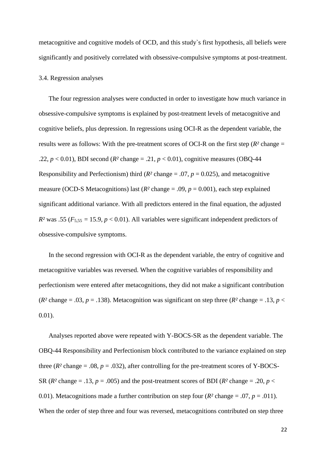metacognitive and cognitive models of OCD, and this study`s first hypothesis, all beliefs were significantly and positively correlated with obsessive-compulsive symptoms at post-treatment.

#### 3.4. Regression analyses

The four regression analyses were conducted in order to investigate how much variance in obsessive-compulsive symptoms is explained by post-treatment levels of metacognitive and cognitive beliefs, plus depression. In regressions using OCI-R as the dependent variable, the results were as follows: With the pre-treatment scores of OCI-R on the first step  $(R^2 \text{ change} =$ .22,  $p < 0.01$ ), BDI second ( $R^2$  change = .21,  $p < 0.01$ ), cognitive measures (OBQ-44) Responsibility and Perfectionism) third ( $R^2$  change = .07,  $p = 0.025$ ), and metacognitive measure (OCD-S Metacognitions) last ( $R^2$  change = .09,  $p = 0.001$ ), each step explained significant additional variance. With all predictors entered in the final equation, the adjusted  $R<sup>2</sup>$  was .55 ( $F<sub>5,55</sub> = 15.9$ ,  $p < 0.01$ ). All variables were significant independent predictors of obsessive-compulsive symptoms.

In the second regression with OCI-R as the dependent variable, the entry of cognitive and metacognitive variables was reversed. When the cognitive variables of responsibility and perfectionism were entered after metacognitions, they did not make a significant contribution ( $R^2$  change = .03,  $p = .138$ ). Metacognition was significant on step three ( $R^2$  change = .13,  $p <$ 0.01).

Analyses reported above were repeated with Y-BOCS-SR as the dependent variable. The OBQ-44 Responsibility and Perfectionism block contributed to the variance explained on step three  $(R^2 \text{ change} = .08, p = .032)$ , after controlling for the pre-treatment scores of Y-BOCS-SR ( $R^2$  change = .13,  $p = .005$ ) and the post-treatment scores of BDI ( $R^2$  change = .20,  $p <$ 0.01). Metacognitions made a further contribution on step four ( $R^2$  change = .07,  $p = .011$ ). When the order of step three and four was reversed, metacognitions contributed on step three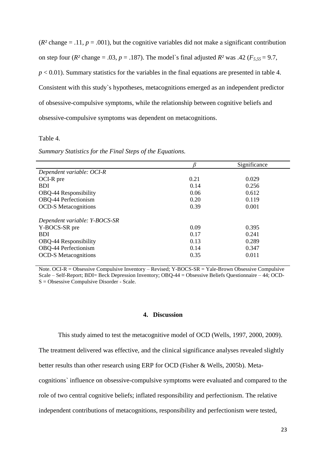$(R<sup>2</sup> change = .11, p = .001)$ , but the cognitive variables did not make a significant contribution on step four ( $R^2$  change = .03,  $p = .187$ ). The model's final adjusted  $R^2$  was .42 ( $F_{5.55} = 9.7$ ,  $p < 0.01$ ). Summary statistics for the variables in the final equations are presented in table 4. Consistent with this study`s hypotheses, metacognitions emerged as an independent predictor of obsessive-compulsive symptoms, while the relationship between cognitive beliefs and obsessive-compulsive symptoms was dependent on metacognitions.

#### Table 4.

*Summary Statistics for the Final Steps of the Equations.*

|      | Significance |
|------|--------------|
|      |              |
| 0.21 | 0.029        |
| 0.14 | 0.256        |
| 0.06 | 0.612        |
| 0.20 | 0.119        |
| 0.39 | 0.001        |
|      |              |
| 0.09 | 0.395        |
| 0.17 | 0.241        |
| 0.13 | 0.289        |
| 0.14 | 0.347        |
| 0.35 | 0.011        |
|      |              |

Note. OCI-R = Obsessive Compulsive Inventory – Revised; Y-BOCS-SR = Yale-Brown Obsessive Compulsive Scale – Self-Report; BDI= Beck Depression Inventory; OBQ-44 = Obsessive Beliefs Questionnaire – 44; OCD-S = Obsessive Compulsive Disorder - Scale.

#### **4. Discussion**

This study aimed to test the metacognitive model of OCD (Wells, 1997, 2000, 2009).

The treatment delivered was effective, and the clinical significance analyses revealed slightly

better results than other research using ERP for OCD (Fisher & Wells, 2005b). Meta-

cognitions` influence on obsessive-compulsive symptoms were evaluated and compared to the

role of two central cognitive beliefs; inflated responsibility and perfectionism. The relative

independent contributions of metacognitions, responsibility and perfectionism were tested,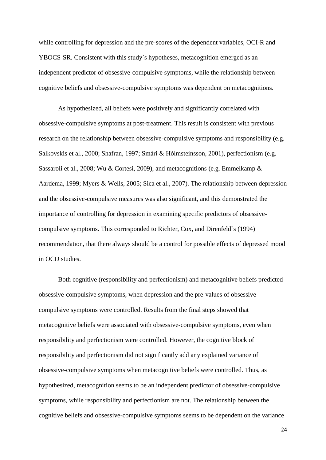while controlling for depression and the pre-scores of the dependent variables, OCI-R and YBOCS-SR. Consistent with this study`s hypotheses, metacognition emerged as an independent predictor of obsessive-compulsive symptoms, while the relationship between cognitive beliefs and obsessive-compulsive symptoms was dependent on metacognitions.

As hypothesized, all beliefs were positively and significantly correlated with obsessive-compulsive symptoms at post-treatment. This result is consistent with previous research on the relationship between obsessive-compulsive symptoms and responsibility (e.g. Salkovskis et al., 2000; Shafran, 1997; Smári & Hólmsteinsson, 2001), perfectionism (e.g. Sassaroli et al., 2008; Wu & Cortesi, 2009), and metacognitions (e.g. Emmelkamp & Aardema, 1999; Myers & Wells, 2005; Sica et al., 2007). The relationship between depression and the obsessive-compulsive measures was also significant, and this demonstrated the importance of controlling for depression in examining specific predictors of obsessivecompulsive symptoms. This corresponded to Richter, Cox, and Direnfeld`s (1994) recommendation, that there always should be a control for possible effects of depressed mood in OCD studies.

Both cognitive (responsibility and perfectionism) and metacognitive beliefs predicted obsessive-compulsive symptoms, when depression and the pre-values of obsessivecompulsive symptoms were controlled. Results from the final steps showed that metacognitive beliefs were associated with obsessive-compulsive symptoms, even when responsibility and perfectionism were controlled. However, the cognitive block of responsibility and perfectionism did not significantly add any explained variance of obsessive-compulsive symptoms when metacognitive beliefs were controlled. Thus, as hypothesized, metacognition seems to be an independent predictor of obsessive-compulsive symptoms, while responsibility and perfectionism are not. The relationship between the cognitive beliefs and obsessive-compulsive symptoms seems to be dependent on the variance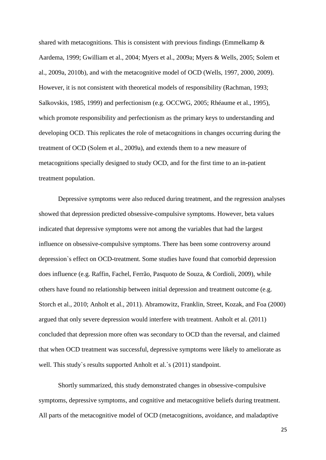shared with metacognitions. This is consistent with previous findings (Emmelkamp  $\&$ Aardema, 1999; Gwilliam et al., 2004; Myers et al., 2009a; Myers & Wells, 2005; Solem et al., 2009a, 2010b), and with the metacognitive model of OCD (Wells, 1997, 2000, 2009). However, it is not consistent with theoretical models of responsibility (Rachman, 1993; Salkovskis, 1985, 1999) and perfectionism (e.g. OCCWG, 2005; Rhéaume et al., 1995), which promote responsibility and perfectionism as the primary keys to understanding and developing OCD. This replicates the role of metacognitions in changes occurring during the treatment of OCD (Solem et al., 2009a), and extends them to a new measure of metacognitions specially designed to study OCD, and for the first time to an in-patient treatment population.

Depressive symptoms were also reduced during treatment, and the regression analyses showed that depression predicted obsessive-compulsive symptoms. However, beta values indicated that depressive symptoms were not among the variables that had the largest influence on obsessive-compulsive symptoms. There has been some controversy around depression`s effect on OCD-treatment. Some studies have found that comorbid depression does influence (e.g. Raffin, Fachel, Ferrão, Pasquoto de Souza, & Cordioli, 2009), while others have found no relationship between initial depression and treatment outcome (e.g. Storch et al., 2010; Anholt et al., 2011). Abramowitz, Franklin, Street, Kozak, and Foa (2000) argued that only severe depression would interfere with treatment. Anholt et al. (2011) concluded that depression more often was secondary to OCD than the reversal, and claimed that when OCD treatment was successful, depressive symptoms were likely to ameliorate as well. This study's results supported Anholt et al.'s (2011) standpoint.

Shortly summarized, this study demonstrated changes in obsessive-compulsive symptoms, depressive symptoms, and cognitive and metacognitive beliefs during treatment. All parts of the metacognitive model of OCD (metacognitions, avoidance, and maladaptive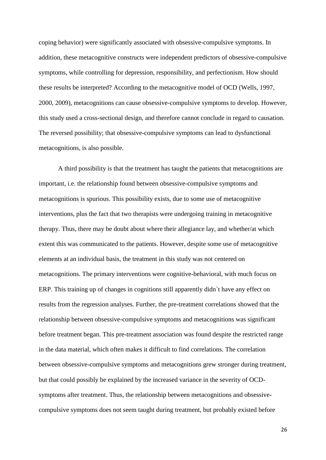coping behavior) were significantly associated with obsessive-compulsive symptoms. In addition, these metacognitive constructs were independent predictors of obsessive-compulsive symptoms, while controlling for depression, responsibility, and perfectionism. How should these results be interpreted? According to the metacognitive model of OCD (Wells, 1997, 2000, 2009), metacognitions can cause obsessive-compulsive symptoms to develop. However, this study used a cross-sectional design, and therefore cannot conclude in regard to causation. The reversed possibility; that obsessive-compulsive symptoms can lead to dysfunctional metacognitions, is also possible.

A third possibility is that the treatment has taught the patients that metacognitions are important, i.e. the relationship found between obsessive-compulsive symptoms and metacognitions is spurious. This possibility exists, due to some use of metacognitive interventions, plus the fact that two therapists were undergoing training in metacognitive therapy. Thus, there may be doubt about where their allegiance lay, and whether/at which extent this was communicated to the patients. However, despite some use of metacognitive elements at an individual basis, the treatment in this study was not centered on metacognitions. The primary interventions were cognitive-behavioral, with much focus on ERP. This training up of changes in cognitions still apparently didn`t have any effect on results from the regression analyses. Further, the pre-treatment correlations showed that the relationship between obsessive-compulsive symptoms and metacognitions was significant before treatment began. This pre-treatment association was found despite the restricted range in the data material, which often makes it difficult to find correlations. The correlation between obsessive-compulsive symptoms and metacognitions grew stronger during treatment, but that could possibly be explained by the increased variance in the severity of OCDsymptoms after treatment. Thus, the relationship between metacognitions and obsessivecompulsive symptoms does not seem taught during treatment, but probably existed before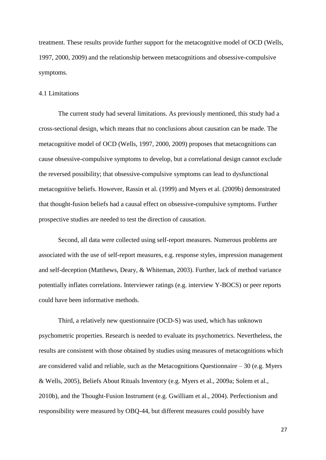treatment. These results provide further support for the metacognitive model of OCD (Wells, 1997, 2000, 2009) and the relationship between metacognitions and obsessive-compulsive symptoms.

#### 4.1 Limitations

The current study had several limitations. As previously mentioned, this study had a cross-sectional design, which means that no conclusions about causation can be made. The metacognitive model of OCD (Wells, 1997, 2000, 2009) proposes that metacognitions can cause obsessive-compulsive symptoms to develop, but a correlational design cannot exclude the reversed possibility; that obsessive-compulsive symptoms can lead to dysfunctional metacognitive beliefs. However, Rassin et al. (1999) and Myers et al. (2009b) demonstrated that thought-fusion beliefs had a causal effect on obsessive-compulsive symptoms. Further prospective studies are needed to test the direction of causation.

Second, all data were collected using self-report measures. Numerous problems are associated with the use of self-report measures, e.g. response styles, impression management and self-deception (Matthews, Deary, & Whiteman, 2003). Further, lack of method variance potentially inflates correlations. Interviewer ratings (e.g. interview Y-BOCS) or peer reports could have been informative methods.

Third, a relatively new questionnaire (OCD-S) was used, which has unknown psychometric properties. Research is needed to evaluate its psychometrics. Nevertheless, the results are consistent with those obtained by studies using measures of metacognitions which are considered valid and reliable, such as the Metacognitions Questionnaire  $-30$  (e.g. Myers & Wells, 2005), Beliefs About Rituals Inventory (e.g. Myers et al., 2009a; Solem et al., 2010b), and the Thought-Fusion Instrument (e.g. Gwilliam et al., 2004). Perfectionism and responsibility were measured by OBQ-44, but different measures could possibly have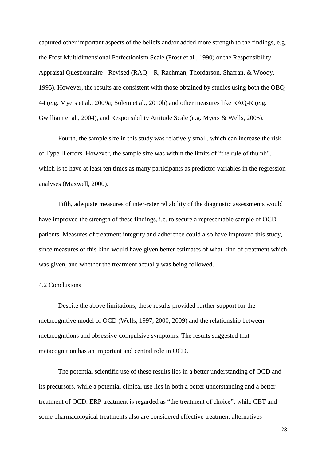captured other important aspects of the beliefs and/or added more strength to the findings, e.g. the Frost Multidimensional Perfectionism Scale (Frost et al., 1990) or the Responsibility Appraisal Questionnaire - Revised (RAQ – R, Rachman, Thordarson, Shafran, & Woody, 1995). However, the results are consistent with those obtained by studies using both the OBQ-44 (e.g. Myers et al., 2009a; Solem et al., 2010b) and other measures like RAQ-R (e.g. Gwilliam et al., 2004), and Responsibility Attitude Scale (e.g. Myers & Wells, 2005).

Fourth, the sample size in this study was relatively small, which can increase the risk of Type II errors. However, the sample size was within the limits of "the rule of thumb", which is to have at least ten times as many participants as predictor variables in the regression analyses (Maxwell, 2000).

Fifth, adequate measures of inter-rater reliability of the diagnostic assessments would have improved the strength of these findings, i.e. to secure a representable sample of OCDpatients. Measures of treatment integrity and adherence could also have improved this study, since measures of this kind would have given better estimates of what kind of treatment which was given, and whether the treatment actually was being followed.

## 4.2 Conclusions

Despite the above limitations, these results provided further support for the metacognitive model of OCD (Wells, 1997, 2000, 2009) and the relationship between metacognitions and obsessive-compulsive symptoms. The results suggested that metacognition has an important and central role in OCD.

The potential scientific use of these results lies in a better understanding of OCD and its precursors, while a potential clinical use lies in both a better understanding and a better treatment of OCD. ERP treatment is regarded as "the treatment of choice", while CBT and some pharmacological treatments also are considered effective treatment alternatives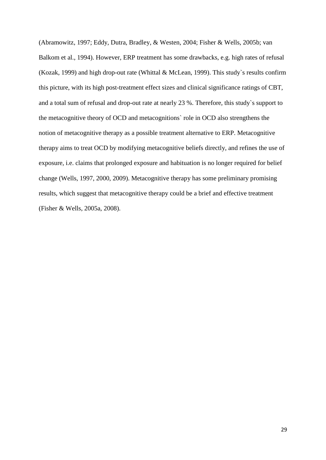(Abramowitz, 1997; Eddy, Dutra, Bradley, & Westen, 2004; Fisher & Wells, 2005b; van Balkom et al., 1994). However, ERP treatment has some drawbacks, e.g. high rates of refusal (Kozak, 1999) and high drop-out rate (Whittal & McLean, 1999). This study`s results confirm this picture, with its high post-treatment effect sizes and clinical significance ratings of CBT, and a total sum of refusal and drop-out rate at nearly 23 %. Therefore, this study`s support to the metacognitive theory of OCD and metacognitions` role in OCD also strengthens the notion of metacognitive therapy as a possible treatment alternative to ERP. Metacognitive therapy aims to treat OCD by modifying metacognitive beliefs directly, and refines the use of exposure, i.e. claims that prolonged exposure and habituation is no longer required for belief change (Wells, 1997, 2000, 2009). Metacognitive therapy has some preliminary promising results, which suggest that metacognitive therapy could be a brief and effective treatment (Fisher & Wells, 2005a, 2008).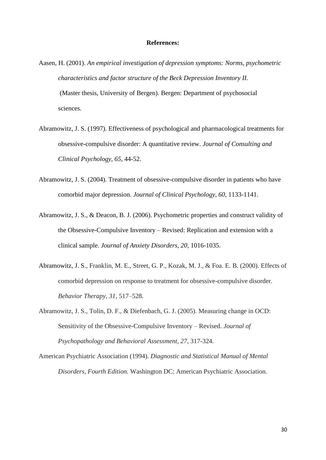#### **References:**

- Aasen, H. (2001). *An empirical investigation of depression symptoms: Norms, psychometric characteristics and factor structure of the Beck Depression Inventory II.* (Master thesis, University of Bergen). Bergen: Department of psychosocial sciences.
- Abramowitz, J. S. (1997). Effectiveness of psychological and pharmacological treatments for obsessive-compulsive disorder: A quantitative review. *Journal of Consulting and Clinical Psychology, 65,* 44-52.
- Abramowitz, J. S. (2004). Treatment of obsessive-compulsive disorder in patients who have comorbid major depression. *Journal of Clinical Psychology, 60,* 1133-1141.
- Abramowitz, J. S., & Deacon, B. J. (2006). Psychometric properties and construct validity of the Obsessive-Compulsive Inventory – Revised: Replication and extension with a clinical sample. *Journal of Anxiety Disorders, 20,* 1016-1035.
- Abramowitz, J. S., Franklin, M. E., Street, G. P., Kozak, M. J., & Foa. E. B. (2000). Effects of comorbid depression on response to treatment for obsessive-compulsive disorder. *Behavior Therapy, 31,* 517–528.

Abramowitz, J. S., Tolin, D. F., & Diefenbach, G. J. (2005). Measuring change in OCD: Sensitivity of the Obsessive-Compulsive Inventory – Revised. *Journal of Psychopathology and Behavioral Assessment, 27*, 317-324.

American Psychiatric Association (1994). *Diagnostic and Statistical Manual of Mental Disorders, Fourth Edition.* Washington DC: American Psychiatric Association.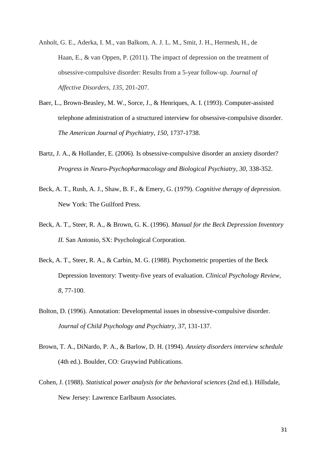- Anholt, G. E., Aderka, I. M., van Balkom, A. J. L. M., Smit, J. H., Hermesh, H., de Haan, E., & van Oppen, P. (2011). The impact of depression on the treatment of obsessive-compulsive disorder: Results from a 5-year follow-up. *Journal of Affective Disorders, 135,* 201-207.
- Baer, L., Brown-Beasley, M. W., Sorce, J., & Henriques, A. I. (1993). Computer-assisted telephone administration of a structured interview for obsessive-compulsive disorder. *The American Journal of Psychiatry, 150,* 1737-1738.
- Bartz, J. A., & Hollander, E. (2006). Is obsessive-compulsive disorder an anxiety disorder? *Progress in Neuro-Psychopharmacology and Biological Psychiatry, 30,* 338-352.
- Beck, A. T., Rush, A. J., Shaw, B. F., & Emery, G. (1979). *Cognitive therapy of depression.* New York: The Guilford Press.
- Beck, A. T., Steer, R. A., & Brown, G. K. (1996). *Manual for the Beck Depression Inventory II.* San Antonio, SX: Psychological Corporation.
- Beck, A. T., Steer, R. A., & Carbin, M. G. (1988). Psychometric properties of the Beck Depression Inventory: Twenty-five years of evaluation. *Clinical Psychology Review, 8,* 77-100.
- Bolton, D. (1996). Annotation: Developmental issues in obsessive-compulsive disorder. *Journal of Child Psychology and Psychiatry, 37,* 131-137.
- Brown, T. A., DiNardo, P. A., & Barlow, D. H. (1994). *Anxiety disorders interview schedule* (4th ed.). Boulder, CO: Graywind Publications.
- Cohen, J. (1988). *Statistical power analysis for the behavioral sciences* (2nd ed.). Hillsdale, New Jersey: Lawrence Earlbaum Associates.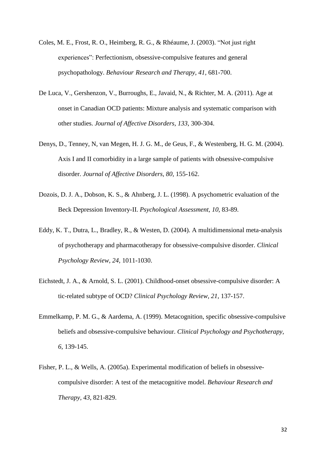- Coles, M. E., Frost, R. O., Heimberg, R. G., & Rhéaume, J. (2003). "Not just right experiences": Perfectionism, obsessive-compulsive features and general psychopathology. *Behaviour Research and Therapy, 41,* 681-700.
- De Luca, V., Gershenzon, V., Burroughs, E., Javaid, N., & Richter, M. A. (2011). Age at onset in Canadian OCD patients: Mixture analysis and systematic comparison with other studies. *Journal of Affective Disorders, 133*, 300-304.
- Denys, D., Tenney, N, van Megen, H. J. G. M., de Geus, F., & Westenberg, H. G. M. (2004). Axis I and II comorbidity in a large sample of patients with obsessive-compulsive disorder. *Journal of Affective Disorders, 80,* 155-162.
- Dozois, D. J. A., Dobson, K. S., & Ahnberg, J. L. (1998). A psychometric evaluation of the Beck Depression Inventory-II. *Psychological Assessment, 10,* 83-89.
- Eddy, K. T., Dutra, L., Bradley, R., & Westen, D. (2004). A multidimensional meta-analysis of psychotherapy and pharmacotherapy for obsessive-compulsive disorder. *Clinical Psychology Review, 24,* 1011-1030.
- Eichstedt, J. A., & Arnold, S. L. (2001). Childhood-onset obsessive-compulsive disorder: A tic-related subtype of OCD? *Clinical Psychology Review, 21,* 137-157.
- Emmelkamp, P. M. G., & Aardema, A. (1999). Metacognition, specific obsessive-compulsive beliefs and obsessive-compulsive behaviour. *Clinical Psychology and Psychotherapy, 6*, 139-145.
- Fisher, P. L., & Wells, A. (2005a). Experimental modification of beliefs in obsessivecompulsive disorder: A test of the metacognitive model. *Behaviour Research and Therapy, 43*, 821-829.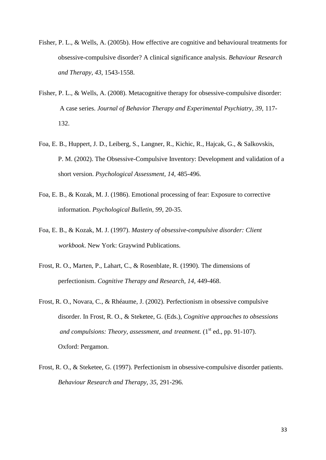- Fisher, P. L., & Wells, A. (2005b). How effective are cognitive and behavioural treatments for obsessive-compulsive disorder? A clinical significance analysis. *Behaviour Research and Therapy, 43*, 1543-1558.
- Fisher, P. L., & Wells, A. (2008). Metacognitive therapy for obsessive-compulsive disorder: A case series. *Journal of Behavior Therapy and Experimental Psychiatry, 39,* 117- 132.
- Foa, E. B., Huppert, J. D., Leiberg, S., Langner, R., Kichic, R., Hajcak, G., & Salkovskis, P. M. (2002). The Obsessive-Compulsive Inventory: Development and validation of a short version. *Psychological Assessment, 14,* 485-496.
- Foa, E. B., & Kozak, M. J. (1986). Emotional processing of fear: Exposure to corrective information. *Psychological Bulletin, 99*, 20-35.
- Foa, E. B., & Kozak, M. J. (1997). *Mastery of obsessive-compulsive disorder: Client workbook*. New York: Graywind Publications.
- Frost, R. O., Marten, P., Lahart, C., & Rosenblate, R. (1990). The dimensions of perfectionism. *Cognitive Therapy and Research, 14*, 449-468.
- Frost, R. O., Novara, C., & Rhéaume, J. (2002). Perfectionism in obsessive compulsive disorder. In Frost, R. O., & Steketee, G. (Eds.), *Cognitive approaches to obsessions and compulsions: Theory, assessment, and treatment.* (1<sup>st</sup> ed., pp. 91-107). Oxford: Pergamon.
- Frost, R. O., & Steketee, G. (1997). Perfectionism in obsessive-compulsive disorder patients. *Behaviour Research and Therapy, 35,* 291-296.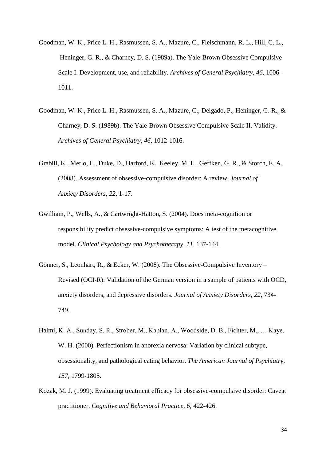- Goodman, W. K., Price L. H., Rasmussen, S. A., Mazure, C., Fleischmann, R. L., Hill, C. L., Heninger, G. R., & Charney, D. S. (1989a). The Yale-Brown Obsessive Compulsive Scale I. Development, use, and reliability. *Archives of General Psychiatry, 46,* 1006- 1011.
- Goodman, W. K., Price L. H., Rasmussen, S. A., Mazure, C., Delgado, P., Heninger, G. R., & Charney, D. S. (1989b). The Yale-Brown Obsessive Compulsive Scale II. Validity. *Archives of General Psychiatry, 46,* 1012-1016.
- Grabill, K., Merlo, L., Duke, D., Harford, K., Keeley, M. L., Geffken, G. R., & Storch, E. A. (2008). Assessment of obsessive-compulsive disorder: A review. *Journal of Anxiety Disorders, 22,* 1-17.
- Gwilliam, P., Wells, A., & Cartwright-Hatton, S. (2004). Does meta-cognition or responsibility predict obsessive-compulsive symptoms: A test of the metacognitive model. *Clinical Psychology and Psychotherapy, 11,* 137-144.
- Gönner, S., Leonhart, R., & Ecker, W. (2008). The Obsessive-Compulsive Inventory Revised (OCI-R): Validation of the German version in a sample of patients with OCD, anxiety disorders, and depressive disorders. *Journal of Anxiety Disorders, 22,* 734- 749.
- Halmi, K. A., Sunday, S. R., Strober, M., Kaplan, A., Woodside, D. B., Fichter, M., … Kaye, W. H. (2000). Perfectionism in anorexia nervosa: Variation by clinical subtype, obsessionality, and pathological eating behavior. *The American Journal of Psychiatry, 157*, 1799-1805.
- Kozak, M. J. (1999). Evaluating treatment efficacy for obsessive-compulsive disorder: Caveat practitioner. *Cognitive and Behavioral Practice, 6,* 422-426.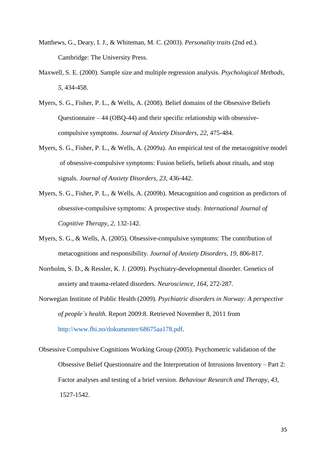- Matthews, G., Deary, I. J., & Whiteman, M. C. (2003). *Personality traits* (2nd ed.). Cambridge: The University Press.
- Maxwell, S. E. (2000). Sample size and multiple regression analysis. *Psychological Methods, 5*, 434-458.
- Myers, S. G., Fisher, P. L., & Wells, A. (2008). Belief domains of the Obsessive Beliefs Questionnaire – 44 (OBQ-44) and their specific relationship with obsessivecompulsive symptoms. *Journal of Anxiety Disorders, 22,* 475-484.
- Myers, S. G., Fisher, P. L., & Wells, A. (2009a). An empirical test of the metacognitive model of obsessive-compulsive symptoms: Fusion beliefs, beliefs about rituals, and stop signals. *Journal of Anxiety Disorders, 23,* 436-442.
- Myers, S. G., Fisher, P. L., & Wells, A. (2009b). Metacognition and cognition as predictors of obsessive-compulsive symptoms: A prospective study. *International Journal of Cognitive Therapy, 2,* 132-142.
- Myers, S. G., & Wells, A. (2005). Obsessive-compulsive symptoms: The contribution of metacognitions and responsibility. *Journal of Anxiety Disorders, 19,* 806-817.
- Norrholm, S. D., & Ressler, K. J. (2009). Psychiatry-developmental disorder. Genetics of anxiety and trauma-related disorders. *Neuroscience, 164,* 272-287.
- Norwegian Institute of Public Health (2009). *Psychiatric disorders in Norway: A perspective of people`s health.* Report 2009:8. Retrieved November 8, 2011 from [http://www.fhi.no/dokumenter/68675aa178.pdf.](http://www.fhi.no/dokumenter/68675aa178.pdf)
- Obsessive Compulsive Cognitions Working Group (2005). Psychometric validation of the Obsessive Belief Questionnaire and the Interpretation of Intrusions Inventory – Part 2: Factor analyses and testing of a brief version. *Behaviour Research and Therapy, 43,* 1527-1542.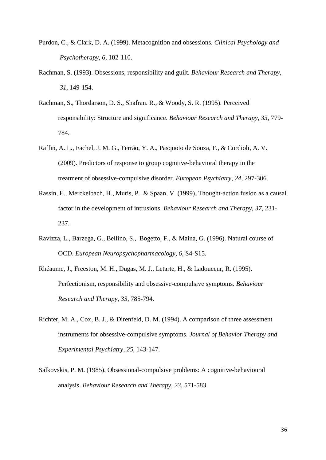- Purdon, C., & Clark, D. A. (1999). Metacognition and obsessions. *Clinical Psychology and Psychotherapy, 6,* 102-110.
- Rachman, S. (1993). Obsessions, responsibility and guilt. *Behaviour Research and Therapy, 31,* 149-154.
- Rachman, S., Thordarson, D. S., Shafran. R., & Woody, S. R. (1995). Perceived responsibility: Structure and significance. *Behaviour Research and Therapy, 33,* 779- 784.
- Raffin, A. L., Fachel, J. M. G., Ferrão, Y. A., Pasquoto de Souza, F., & Cordioli, A. V. (2009). Predictors of response to group cognitive-behavioral therapy in the treatment of obsessive-compulsive disorder. *European Psychiatry, 24*, 297-306.
- Rassin, E., Merckelbach, H., Muris, P., & Spaan, V. (1999). Thought-action fusion as a causal factor in the development of intrusions. *Behaviour Research and Therapy, 37*, 231- 237.
- Ravizza, L., Barzega, G., Bellino, S., Bogetto, F., & Maina, G. (1996). Natural course of OCD. *European Neuropsychopharmacology, 6,* S4-S15.
- Rhéaume, J., Freeston, M. H., Dugas, M. J., Letarte, H., & Ladouceur, R. (1995). Perfectionism, responsibility and obsessive-compulsive symptoms. *Behaviour Research and Therapy, 33*, 785-794.
- Richter, M. A., Cox, B. J., & Direnfeld, D. M. (1994). A comparison of three assessment instruments for obsessive-compulsive symptoms. *Journal of Behavior Therapy and Experimental Psychiatry, 25*, 143-147.
- Salkovskis, P. M. (1985). Obsessional-compulsive problems: A cognitive-behavioural analysis. *Behaviour Research and Therapy, 23*, 571-583.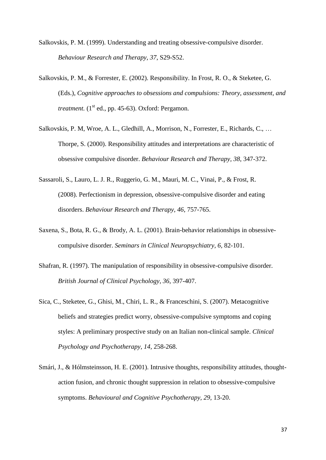Salkovskis, P. M. (1999). Understanding and treating obsessive-compulsive disorder. *Behaviour Research and Therapy, 37*, S29-S52.

- Salkovskis, P. M., & Forrester, E. (2002). Responsibility. In Frost, R. O., & Steketee, G. (Eds.), *Cognitive approaches to obsessions and compulsions: Theory, assessment, and treatment.*  $(1<sup>st</sup> ed., pp. 45-63)$ . Oxford: Pergamon.
- Salkovskis, P. M, Wroe, A. L., Gledhill, A., Morrison, N., Forrester, E., Richards, C., … Thorpe, S. (2000). Responsibility attitudes and interpretations are characteristic of obsessive compulsive disorder. *Behaviour Research and Therapy, 38*, 347-372.
- Sassaroli, S., Lauro, L. J. R., Ruggerio, G. M., Mauri, M. C., Vinai, P., & Frost, R. (2008). Perfectionism in depression, obsessive-compulsive disorder and eating disorders. *Behaviour Research and Therapy, 46*, 757-765.
- Saxena, S., Bota, R. G., & Brody, A. L. (2001). Brain-behavior relationships in obsessivecompulsive disorder. *Seminars in Clinical Neuropsychiatry, 6,* 82-101.
- Shafran, R. (1997). The manipulation of responsibility in obsessive-compulsive disorder. *British Journal of Clinical Psychology, 36,* 397-407.
- Sica, C., Steketee, G., Ghisi, M., Chiri, L. R., & Franceschini, S. (2007). Metacognitive beliefs and strategies predict worry, obsessive-compulsive symptoms and coping styles: A preliminary prospective study on an Italian non-clinical sample. *Clinical Psychology and Psychotherapy, 14,* 258-268.
- Smári, J., & Hólmsteinsson, H. E. (2001). Intrusive thoughts, responsibility attitudes, thoughtaction fusion, and chronic thought suppression in relation to obsessive-compulsive symptoms. *Behavioural and Cognitive Psychotherapy, 29,* 13-20.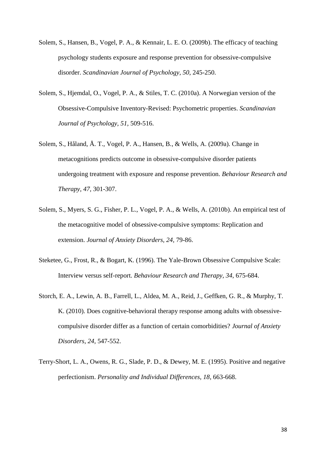- Solem, S., Hansen, B., Vogel, P. A., & Kennair, L. E. O. (2009b). The efficacy of teaching psychology students exposure and response prevention for obsessive-compulsive disorder. *Scandinavian Journal of Psychology, 50*, 245-250.
- Solem, S., Hjemdal, O., Vogel, P. A., & Stiles, T. C. (2010a). A Norwegian version of the Obsessive-Compulsive Inventory-Revised: Psychometric properties. *Scandinavian Journal of Psychology, 51,* 509-516.
- Solem, S., Håland, Å. T., Vogel, P. A., Hansen, B., & Wells, A. (2009a). Change in metacognitions predicts outcome in obsessive-compulsive disorder patients undergoing treatment with exposure and response prevention. *Behaviour Research and Therapy, 47,* 301-307.
- Solem, S., Myers, S. G., Fisher, P. L., Vogel, P. A., & Wells, A. (2010b). An empirical test of the metacognitive model of obsessive-compulsive symptoms: Replication and extension. *Journal of Anxiety Disorders, 24,* 79-86.
- Steketee, G., Frost, R., & Bogart, K. (1996). The Yale-Brown Obsessive Compulsive Scale: Interview versus self-report. *Behaviour Research and Therapy, 34*, 675-684.
- Storch, E. A., Lewin, A. B., Farrell, L., Aldea, M. A., Reid, J., Geffken, G. R., & Murphy, T. K. (2010). Does cognitive-behavioral therapy response among adults with obsessivecompulsive disorder differ as a function of certain comorbidities? *Journal of Anxiety Disorders, 24,* 547-552.
- Terry-Short, L. A., Owens, R. G., Slade, P. D., & Dewey, M. E. (1995). Positive and negative perfectionism. *Personality and Individual Differences, 18*, 663-668.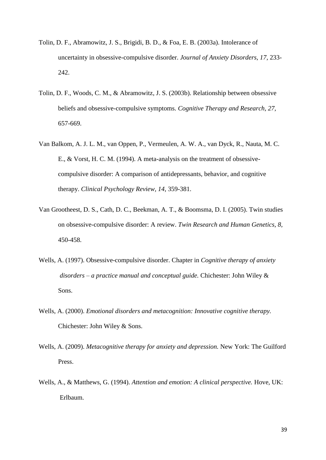- Tolin, D. F., Abramowitz, J. S., Brigidi, B. D., & Foa, E. B. (2003a). Intolerance of uncertainty in obsessive-compulsive disorder. *Journal of Anxiety Disorders, 17,* 233- 242.
- Tolin, D. F., Woods, C. M., & Abramowitz, J. S. (2003b). Relationship between obsessive beliefs and obsessive-compulsive symptoms. *Cognitive Therapy and Research, 27,* 657-669.
- Van Balkom, A. J. L. M., van Oppen, P., Vermeulen, A. W. A., van Dyck, R., Nauta, M. C. E., & Vorst, H. C. M. (1994). A meta-analysis on the treatment of obsessivecompulsive disorder: A comparison of antidepressants, behavior, and cognitive therapy. *Clinical Psychology Review, 14*, 359-381.
- Van Grootheest, D. S., Cath, D. C., Beekman, A. T., & Boomsma, D. I. (2005). Twin studies on obsessive-compulsive disorder: A review. *Twin Research and Human Genetics, 8,* 450-458.
- Wells, A. (1997). Obsessive-compulsive disorder. Chapter in *Cognitive therapy of anxiety disorders – a practice manual and conceptual guide.* Chichester: John Wiley & Sons.
- Wells, A. (2000). *Emotional disorders and metacognition: Innovative cognitive therapy.* Chichester: John Wiley & Sons.
- Wells, A. (2009). *Metacognitive therapy for anxiety and depression.* New York: The Guilford Press.
- Wells, A., & Matthews, G. (1994). *Attention and emotion: A clinical perspective.* Hove, UK: Erlbaum.